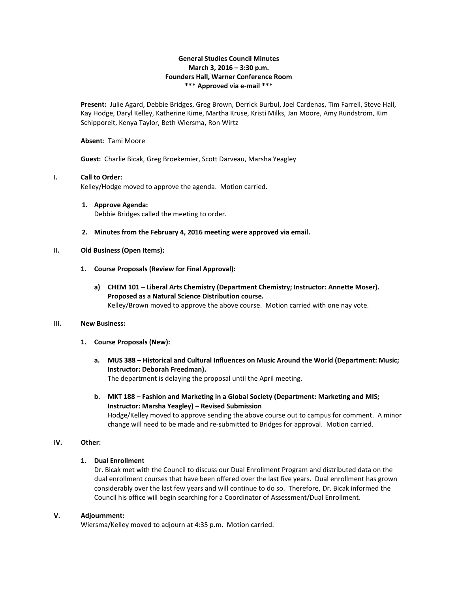## **General Studies Council Minutes March 3, 2016 – 3:30 p.m. Founders Hall, Warner Conference Room \*\*\* Approved via e-mail \*\*\***

**Present:** Julie Agard, Debbie Bridges, Greg Brown, Derrick Burbul, Joel Cardenas, Tim Farrell, Steve Hall, Kay Hodge, Daryl Kelley, Katherine Kime, Martha Kruse, Kristi Milks, Jan Moore, Amy Rundstrom, Kim Schipporeit, Kenya Taylor, Beth Wiersma, Ron Wirtz

#### **Absent**: Tami Moore

**Guest:** Charlie Bicak, Greg Broekemier, Scott Darveau, Marsha Yeagley

### **I. Call to Order:**

Kelley/Hodge moved to approve the agenda. Motion carried.

- **1. Approve Agenda:** Debbie Bridges called the meeting to order.
- **2. Minutes from the February 4, 2016 meeting were approved via email.**

### **II. Old Business (Open Items):**

- **1. Course Proposals (Review for Final Approval):**
	- **a) CHEM 101 – Liberal Arts Chemistry (Department Chemistry; Instructor: Annette Moser). Proposed as a Natural Science Distribution course.** Kelley/Brown moved to approve the above course. Motion carried with one nay vote.

#### **III. New Business:**

- **1. Course Proposals (New):**
	- **a. MUS 388 – Historical and Cultural Influences on Music Around the World (Department: Music; Instructor: Deborah Freedman).** The department is delaying the proposal until the April meeting.
	- **b. MKT 188 – Fashion and Marketing in a Global Society (Department: Marketing and MIS; Instructor: Marsha Yeagley) – Revised Submission** Hodge/Kelley moved to approve sending the above course out to campus for comment. A minor change will need to be made and re-submitted to Bridges for approval. Motion carried.

# **IV. Other:**

# **1. Dual Enrollment**

Dr. Bicak met with the Council to discuss our Dual Enrollment Program and distributed data on the dual enrollment courses that have been offered over the last five years. Dual enrollment has grown considerably over the last few years and will continue to do so. Therefore, Dr. Bicak informed the Council his office will begin searching for a Coordinator of Assessment/Dual Enrollment.

#### **V. Adjournment:**

Wiersma/Kelley moved to adjourn at 4:35 p.m. Motion carried.